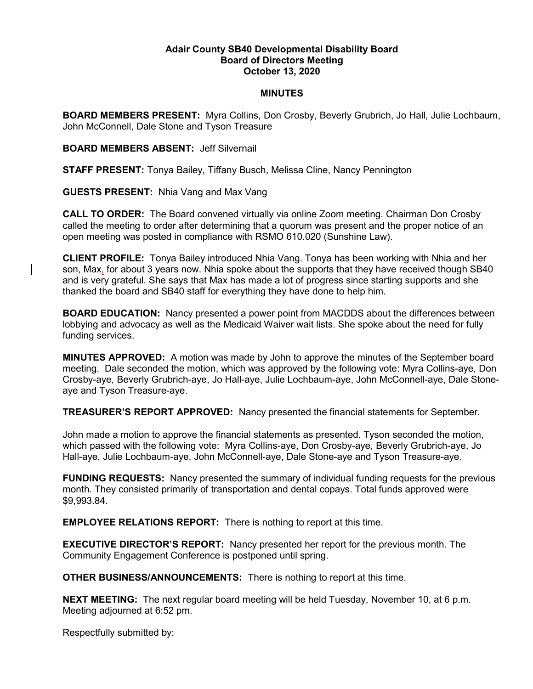## Adair County SB40 Developmental Disability Board Board of Directors Meeting October 13, 2020

## MINUTES

BOARD MEMBERS PRESENT: Myra Collins, Don Crosby, Beverly Grubrich, Jo Hall, Julie Lochbaum, John McConnell, Dale Stone and Tyson Treasure

BOARD MEMBERS ABSENT: Jeff Silvernail

STAFF PRESENT: Tonya Bailey, Tiffany Busch, Melissa Cline, Nancy Pennington

GUESTS PRESENT: Nhia Vang and Max Vang

CALL TO ORDER: The Board convened virtually via online Zoom meeting. Chairman Don Crosby called the meeting to order after determining that a quorum was present and the proper notice of an open meeting was posted in compliance with RSMO 610.020 (Sunshine Law).

CLIENT PROFILE: Tonya Bailey introduced Nhia Vang. Tonya has been working with Nhia and her son, Max, for about 3 years now. Nhia spoke about the supports that they have received though SB40 and is very grateful. She says that Max has made a lot of progress since starting supports and she thanked the board and SB40 staff for everything they have done to help him.

BOARD EDUCATION: Nancy presented a power point from MACDDS about the differences between lobbying and advocacy as well as the Medicaid Waiver wait lists. She spoke about the need for fully funding services.

MINUTES APPROVED: A motion was made by John to approve the minutes of the September board meeting. Dale seconded the motion, which was approved by the following vote: Myra Collins-aye, Don Crosby-aye, Beverly Grubrich-aye, Jo Hall-aye, Julie Lochbaum-aye, John McConnell-aye, Dale Stoneaye and Tyson Treasure-aye.

TREASURER'S REPORT APPROVED: Nancy presented the financial statements for September.

John made a motion to approve the financial statements as presented. Tyson seconded the motion, which passed with the following vote: Myra Collins-aye, Don Crosby-aye, Beverly Grubrich-aye, Jo Hall-aye, Julie Lochbaum-aye, John McConnell-aye, Dale Stone-aye and Tyson Treasure-aye.

FUNDING REQUESTS: Nancy presented the summary of individual funding requests for the previous month. They consisted primarily of transportation and dental copays. Total funds approved were \$9,993.84.

EMPLOYEE RELATIONS REPORT: There is nothing to report at this time.

EXECUTIVE DIRECTOR'S REPORT: Nancy presented her report for the previous month. The Community Engagement Conference is postponed until spring.

OTHER BUSINESS/ANNOUNCEMENTS: There is nothing to report at this time.

NEXT MEETING: The next regular board meeting will be held Tuesday, November 10, at 6 p.m. Meeting adjourned at 6:52 pm.

Respectfully submitted by: